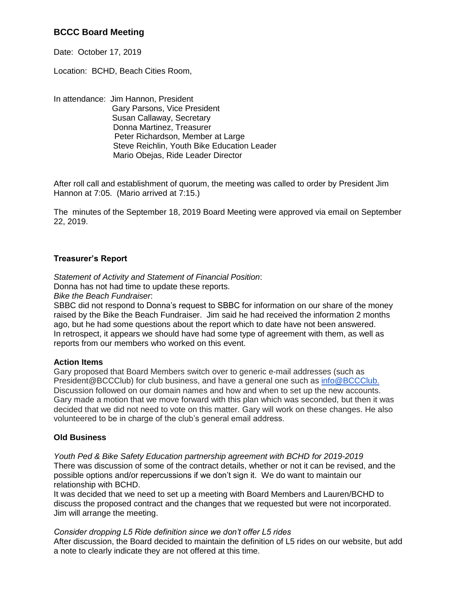# **BCCC Board Meeting**

Date: October 17, 2019

Location: BCHD, Beach Cities Room,

In attendance: Jim Hannon, President Gary Parsons, Vice President Susan Callaway, Secretary Donna Martinez, Treasurer Peter Richardson, Member at Large Steve Reichlin, Youth Bike Education Leader Mario Obejas, Ride Leader Director

After roll call and establishment of quorum, the meeting was called to order by President Jim Hannon at 7:05. (Mario arrived at 7:15.)

The minutes of the September 18, 2019 Board Meeting were approved via email on September 22, 2019.

## **Treasurer's Report**

*Statement of Activity and Statement of Financial Position*: Donna has not had time to update these reports.

*Bike the Beach Fundraiser*:

SBBC did not respond to Donna's request to SBBC for information on our share of the money raised by the Bike the Beach Fundraiser. Jim said he had received the information 2 months ago, but he had some questions about the report which to date have not been answered. In retrospect, it appears we should have had some type of agreement with them, as well as reports from our members who worked on this event.

## **Action Items**

Gary proposed that Board Members switch over to generic e-mail addresses (such as President@BCCClub) for club business, and have a general one such as info@BCCClub. Discussion followed on our domain names and how and when to set up the new accounts. Gary made a motion that we move forward with this plan which was seconded, but then it was decided that we did not need to vote on this matter. Gary will work on these changes. He also volunteered to be in charge of the club's general email address.

## **Old Business**

*Youth Ped & Bike Safety Education partnership agreement with BCHD for 2019-2019* There was discussion of some of the contract details, whether or not it can be revised, and the possible options and/or repercussions if we don't sign it. We do want to maintain our relationship with BCHD.

It was decided that we need to set up a meeting with Board Members and Lauren/BCHD to discuss the proposed contract and the changes that we requested but were not incorporated. Jim will arrange the meeting.

*Consider dropping L5 Ride definition since we don't offer L5 rides* After discussion, the Board decided to maintain the definition of L5 rides on our website, but add a note to clearly indicate they are not offered at this time.